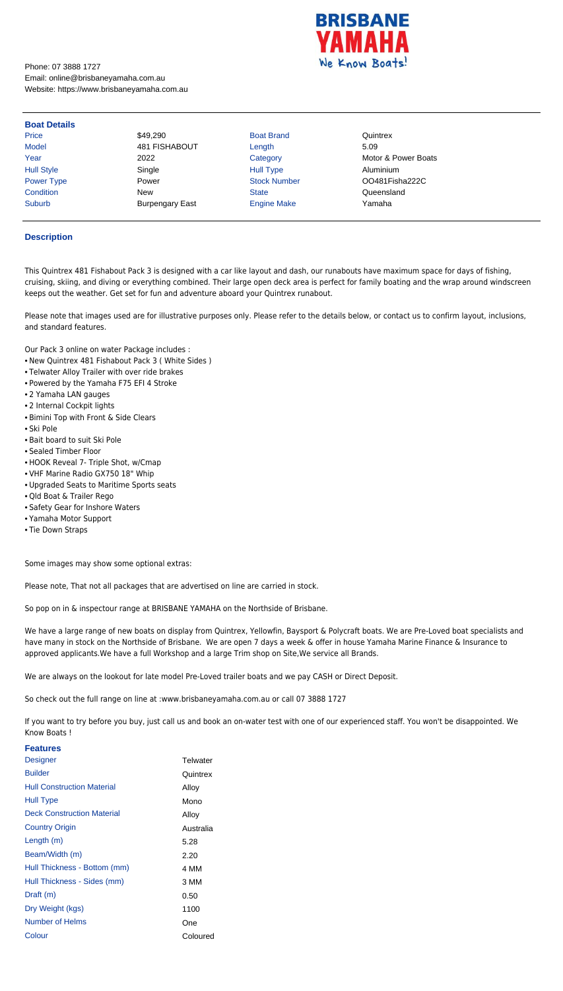

Phone: 07 3888 1727 Email: online@brisbaneyamaha.com.au Website: https://www.brisbaneyamaha.com.au

| <b>Boat Details</b> |                        |                     |                     |
|---------------------|------------------------|---------------------|---------------------|
| Price               | \$49,290               | <b>Boat Brand</b>   | Quintrex            |
| <b>Model</b>        | 481 FISHABOUT          | Length              | 5.09                |
| Year                | 2022                   | Category            | Motor & Power Boats |
| <b>Hull Style</b>   | Single                 | <b>Hull Type</b>    | Aluminium           |
| <b>Power Type</b>   | Power                  | <b>Stock Number</b> | OO481Fisha222C      |
| Condition           | <b>New</b>             | <b>State</b>        | Queensland          |
| Suburb              | <b>Burpengary East</b> | <b>Engine Make</b>  | Yamaha              |

## **Description**

This Quintrex 481 Fishabout Pack 3 is designed with a car like layout and dash, our runabouts have maximum space for days of fishing, cruising, skiing, and diving or everything combined. Their large open deck area is perfect for family boating and the wrap around windscreen keeps out the weather. Get set for fun and adventure aboard your Quintrex runabout.

Please note that images used are for illustrative purposes only. Please refer to the details below, or contact us to confirm layout, inclusions, and standard features.

Our Pack 3 online on water Package includes :

- New Quintrex 481 Fishabout Pack 3 ( White Sides )
- Telwater Alloy Trailer with over ride brakes
- Powered by the Yamaha F75 EFI 4 Stroke
- 2 Yamaha LAN gauges
- 2 Internal Cockpit lights
- Bimini Top with Front & Side Clears
- Ski Pole
- Bait board to suit Ski Pole
- Sealed Timber Floor
- HOOK Reveal 7- Triple Shot, w/Cmap
- VHF Marine Radio GX750 18" Whip
- Upgraded Seats to Maritime Sports seats
- Qld Boat & Trailer Rego
- Safety Gear for Inshore Waters
- Yamaha Motor Support
- Tie Down Straps

Some images may show some optional extras:

Please note, That not all packages that are advertised on line are carried in stock.

So pop on in & inspectour range at BRISBANE YAMAHA on the Northside of Brisbane.

We have a large range of new boats on display from Quintrex, Yellowfin, Baysport & Polycraft boats. We are Pre-Loved boat specialists and have many in stock on the Northside of Brisbane. We are open 7 days a week & offer in house Yamaha Marine Finance & Insurance to approved applicants.We have a full Workshop and a large Trim shop on Site,We service all Brands.

We are always on the lookout for late model Pre-Loved trailer boats and we pay CASH or Direct Deposit.

So check out the full range on line at :www.brisbaneyamaha.com.au or call 07 3888 1727

If you want to try before you buy, just call us and book an on-water test with one of our experienced staff. You won't be disappointed. We Know Boats !

## **Features**

| <b>Designer</b>                   | Telwater  |
|-----------------------------------|-----------|
| <b>Builder</b>                    | Quintrex  |
| <b>Hull Construction Material</b> | Alloy     |
| Hull Type                         | Mono      |
| <b>Deck Construction Material</b> | Alloy     |
| <b>Country Origin</b>             | Australia |
| Length $(m)$                      | 5.28      |
| Beam/Width (m)                    | 2.20      |
| Hull Thickness - Bottom (mm)      | 4 MM      |
| Hull Thickness - Sides (mm)       | 3 MM      |
| Draft (m)                         | 0.50      |
| Dry Weight (kgs)                  | 1100      |
| Number of Helms                   | One       |
| Colour                            | Coloured  |